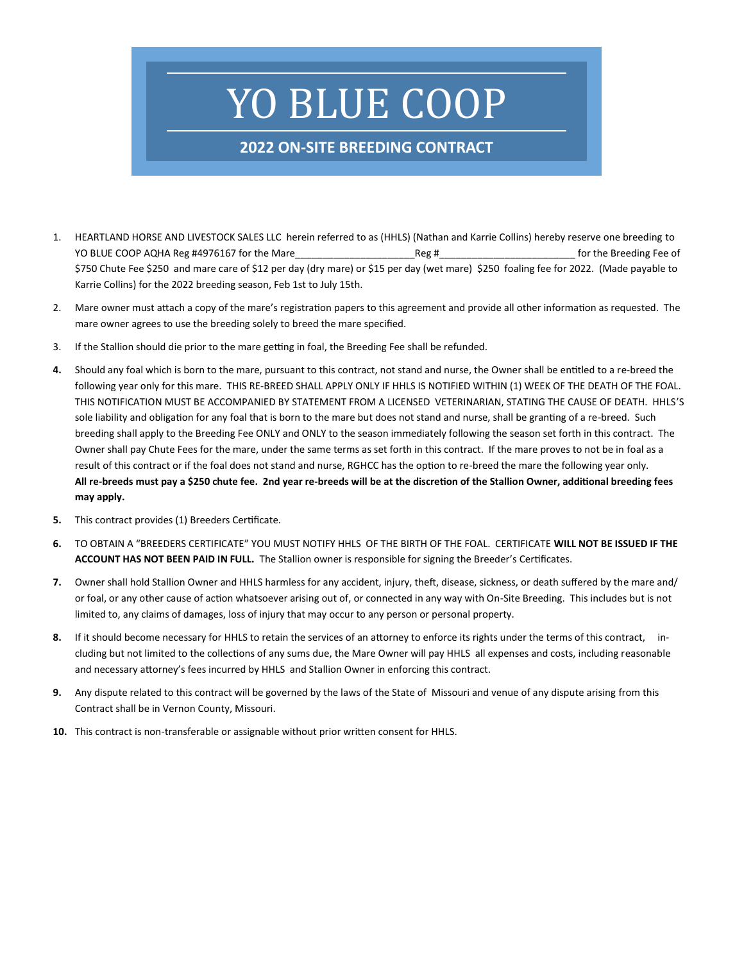# YO BLUE COOP

## **2022 ON-SITE BREEDING CONTRACT**

- 1. HEARTLAND HORSE AND LIVESTOCK SALES LLC herein referred to as (HHLS) (Nathan and Karrie Collins) hereby reserve one breeding to YO BLUE COOP AQHA Reg #4976167 for the Mare The Mare The Reg # The Streeding Fee of \$750 Chute Fee \$250 and mare care of \$12 per day (dry mare) or \$15 per day (wet mare) \$250 foaling fee for 2022. (Made payable to Karrie Collins) for the 2022 breeding season, Feb 1st to July 15th.
- 2. Mare owner must attach a copy of the mare's registration papers to this agreement and provide all other information as requested. The mare owner agrees to use the breeding solely to breed the mare specified.
- 3. If the Stallion should die prior to the mare getting in foal, the Breeding Fee shall be refunded.
- **4.** Should any foal which is born to the mare, pursuant to this contract, not stand and nurse, the Owner shall be entitled to a re-breed the following year only for this mare. THIS RE-BREED SHALL APPLY ONLY IF HHLS IS NOTIFIED WITHIN (1) WEEK OF THE DEATH OF THE FOAL. THIS NOTIFICATION MUST BE ACCOMPANIED BY STATEMENT FROM A LICENSED VETERINARIAN, STATING THE CAUSE OF DEATH. HHLS'S sole liability and obligation for any foal that is born to the mare but does not stand and nurse, shall be granting of a re-breed. Such breeding shall apply to the Breeding Fee ONLY and ONLY to the season immediately following the season set forth in this contract. The Owner shall pay Chute Fees for the mare, under the same terms as set forth in this contract. If the mare proves to not be in foal as a result of this contract or if the foal does not stand and nurse, RGHCC has the option to re-breed the mare the following year only. **All re-breeds must pay a \$250 chute fee. 2nd year re-breeds will be at the discretion of the Stallion Owner, additional breeding fees may apply.**
- **5.** This contract provides (1) Breeders Certificate.
- **6.** TO OBTAIN A "BREEDERS CERTIFICATE" YOU MUST NOTIFY HHLS OF THE BIRTH OF THE FOAL. CERTIFICATE **WILL NOT BE ISSUED IF THE ACCOUNT HAS NOT BEEN PAID IN FULL.** The Stallion owner is responsible for signing the Breeder's Certificates.
- **7.** Owner shall hold Stallion Owner and HHLS harmless for any accident, injury, theft, disease, sickness, or death suffered by the mare and/ or foal, or any other cause of action whatsoever arising out of, or connected in any way with On-Site Breeding. This includes but is not limited to, any claims of damages, loss of injury that may occur to any person or personal property.
- **8.** If it should become necessary for HHLS to retain the services of an attorney to enforce its rights under the terms of this contract, including but not limited to the collections of any sums due, the Mare Owner will pay HHLS all expenses and costs, including reasonable and necessary attorney's fees incurred by HHLS and Stallion Owner in enforcing this contract.
- **9.** Any dispute related to this contract will be governed by the laws of the State of Missouri and venue of any dispute arising from this Contract shall be in Vernon County, Missouri.
- **10.** This contract is non-transferable or assignable without prior written consent for HHLS.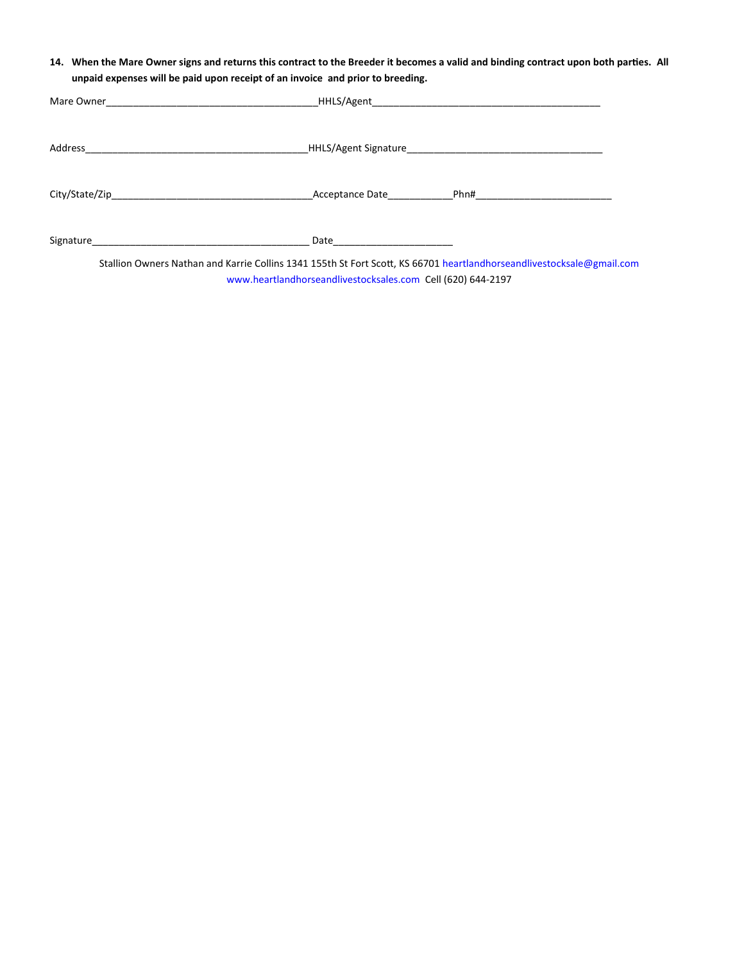**14. When the Mare Owner signs and returns this contract to the Breeder it becomes a valid and binding contract upon both parties. All unpaid expenses will be paid upon receipt of an invoice and prior to breeding.**

| Signature and the state of the state of the state of the state of the state of the state of the state of the state of the state of the state of the state of the state of the state of the state of the state of the state of<br>Stallion Owners Nathan and Karrie Collins 1341 155th St Fort Scott, KS 66701 heartlandhorseandlivestocksale@gmail.com |
|--------------------------------------------------------------------------------------------------------------------------------------------------------------------------------------------------------------------------------------------------------------------------------------------------------------------------------------------------------|

www.heartlandhorseandlivestocksales.com Cell (620) 644-2197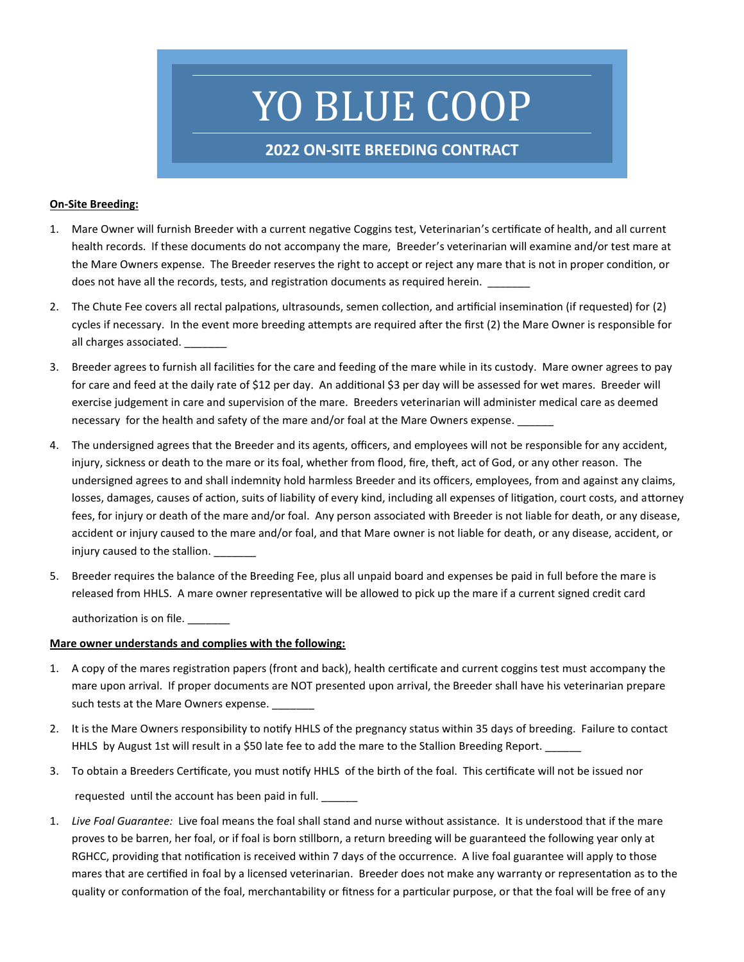## YO BLUE COOP

### **2022 ON-SITE BREEDING CONTRACT**

#### **On-Site Breeding:**

- 1. Mare Owner will furnish Breeder with a current negative Coggins test, Veterinarian's certificate of health, and all current health records. If these documents do not accompany the mare, Breeder's veterinarian will examine and/or test mare at the Mare Owners expense. The Breeder reserves the right to accept or reject any mare that is not in proper condition, or does not have all the records, tests, and registration documents as required herein.
- 2. The Chute Fee covers all rectal palpations, ultrasounds, semen collection, and artificial insemination (if requested) for (2) cycles if necessary. In the event more breeding attempts are required after the first (2) the Mare Owner is responsible for all charges associated.
- 3. Breeder agrees to furnish all facilities for the care and feeding of the mare while in its custody. Mare owner agrees to pay for care and feed at the daily rate of \$12 per day. An additional \$3 per day will be assessed for wet mares. Breeder will exercise judgement in care and supervision of the mare. Breeders veterinarian will administer medical care as deemed necessary for the health and safety of the mare and/or foal at the Mare Owners expense.
- 4. The undersigned agrees that the Breeder and its agents, officers, and employees will not be responsible for any accident, injury, sickness or death to the mare or its foal, whether from flood, fire, theft, act of God, or any other reason. The undersigned agrees to and shall indemnity hold harmless Breeder and its officers, employees, from and against any claims, losses, damages, causes of action, suits of liability of every kind, including all expenses of litigation, court costs, and attorney fees, for injury or death of the mare and/or foal. Any person associated with Breeder is not liable for death, or any disease, accident or injury caused to the mare and/or foal, and that Mare owner is not liable for death, or any disease, accident, or injury caused to the stallion.
- 5. Breeder requires the balance of the Breeding Fee, plus all unpaid board and expenses be paid in full before the mare is released from HHLS. A mare owner representative will be allowed to pick up the mare if a current signed credit card authorization is on file.

#### **Mare owner understands and complies with the following:**

- 1. A copy of the mares registration papers (front and back), health certificate and current coggins test must accompany the mare upon arrival. If proper documents are NOT presented upon arrival, the Breeder shall have his veterinarian prepare such tests at the Mare Owners expense.
- 2. It is the Mare Owners responsibility to notify HHLS of the pregnancy status within 35 days of breeding. Failure to contact HHLS by August 1st will result in a \$50 late fee to add the mare to the Stallion Breeding Report.
- 3. To obtain a Breeders Certificate, you must notify HHLS of the birth of the foal. This certificate will not be issued nor requested until the account has been paid in full.
- 1. *Live Foal Guarantee:* Live foal means the foal shall stand and nurse without assistance. It is understood that if the mare proves to be barren, her foal, or if foal is born stillborn, a return breeding will be guaranteed the following year only at RGHCC, providing that notification is received within 7 days of the occurrence. A live foal guarantee will apply to those mares that are certified in foal by a licensed veterinarian. Breeder does not make any warranty or representation as to the quality or conformation of the foal, merchantability or fitness for a particular purpose, or that the foal will be free of any